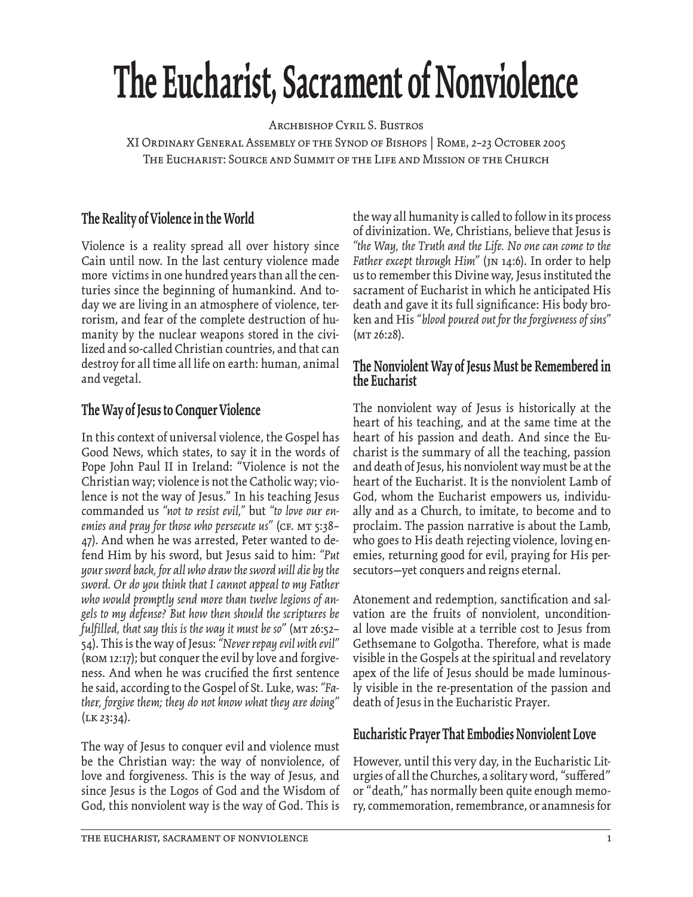# **The Eucharist, Sacrament of Nonviolence**

Archbishop Cyril S. Bustros

XI Ordinary General Assembly of the Synod of Bishops | Rome, 2–23 October 2005 The Eucharist: Source and Summit of the Life and Mission of the Church

## **The Reality of Violence in the World**

Violence is a reality spread all over history since Cain until now. In the last century violence made more victims in one hundred years than all the centuries since the beginning of humankind. And today we are living in an atmosphere of violence, terrorism, and fear of the complete destruction of humanity by the nuclear weapons stored in the civilized and so-called Christian countries, and that can destroy for all time all life on earth: human, animal and vegetal.

## **The Way of Jesus to Conquer Violence**

In this context of universal violence, the Gospel has Good News, which states, to say it in the words of Pope John Paul II in Ireland: "Violence is not the Christian way; violence is not the Catholic way; violence is not the way of Jesus." In his teaching Jesus commanded us *"not to resist evil,"* but *"to love our en*emies and pray for those who persecute us" (CF. MT 5:38– 47). And when he was arrested, Peter wanted to defend Him by his sword, but Jesus said to him: *"Put your sword back, for all who draw the sword will die by the sword. Or do you think that I cannot appeal to my Father who would promptly send more than twelve legions of angels to my defense? But how then should the scriptures be fulfilled, that say this is the way it must be so"* (Mt 26:52– 54). This is the way of Jesus: *"Never repay evil with evil"* (Rom 12:17); but conquer the evil by love and forgiveness. And when he was crucified the first sentence he said, according to the Gospel of St. Luke, was: *"Father, forgive them; they do not know what they are doing"*  $(LK 23:34).$ 

The way of Jesus to conquer evil and violence must be the Christian way: the way of nonviolence, of love and forgiveness. This is the way of Jesus, and since Jesus is the Logos of God and the Wisdom of God, this nonviolent way is the way of God. This is the way all humanity is called to follow in its process of divinization. We, Christians, believe that Jesus is *"the Way, the Truth and the Life. No one can come to the*  Father except through Him" (JN 14:6). In order to help us to remember this Divine way, Jesus instituted the sacrament of Eucharist in which he anticipated His death and gave it its full significance: His body broken and His *"blood poured out for the forgiveness of sins"*  $(MT 26:28)$ .

### **The Nonviolent Way of Jesus Must be Remembered in the Eucharist**

The nonviolent way of Jesus is historically at the heart of his teaching, and at the same time at the heart of his passion and death. And since the Eucharist is the summary of all the teaching, passion and death of Jesus, his nonviolent way must be at the heart of the Eucharist. It is the nonviolent Lamb of God, whom the Eucharist empowers us, individually and as a Church, to imitate, to become and to proclaim. The passion narrative is about the Lamb, who goes to His death rejecting violence, loving enemies, returning good for evil, praying for His persecutors—yet conquers and reigns eternal.

Atonement and redemption, sanctification and salvation are the fruits of nonviolent, unconditional love made visible at a terrible cost to Jesus from Gethsemane to Golgotha. Therefore, what is made visible in the Gospels at the spiritual and revelatory apex of the life of Jesus should be made luminously visible in the re-presentation of the passion and death of Jesus in the Eucharistic Prayer.

## **Eucharistic Prayer That Embodies Nonviolent Love**

However, until this very day, in the Eucharistic Liturgies of all the Churches, a solitary word, "suffered" or "death," has normally been quite enough memory, commemoration, remembrance, or anamnesis for